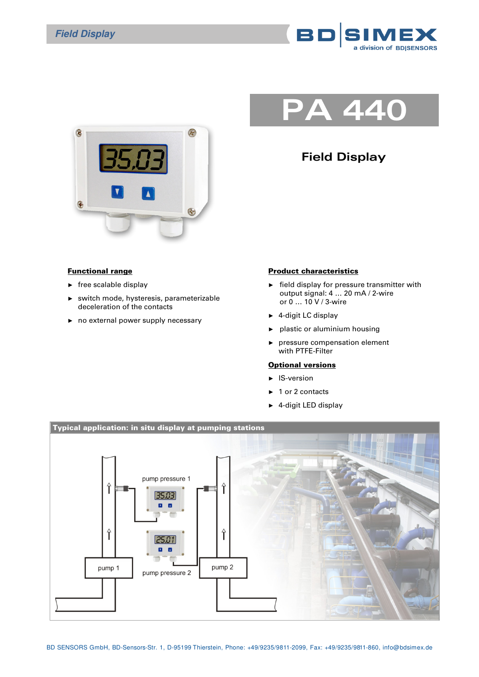



## **Field Display**

**PA 440**

## Functional range

- $\blacktriangleright$  free scalable display
- switch mode, hysteresis, parameterizable deceleration of the contacts
- ► no external power supply necessary

## Product characteristics

- ► field display for pressure transmitter with output signal: 4 … 20 mA / 2-wire or 0 … 10 V / 3-wire
- ► 4-digit LC display
- ► plastic or aluminium housing
- ► pressure compensation element with PTFE-Filter

## Optional versions

- ► IS-version
- ► 1 or 2 contacts
- ► 4-digit LED display